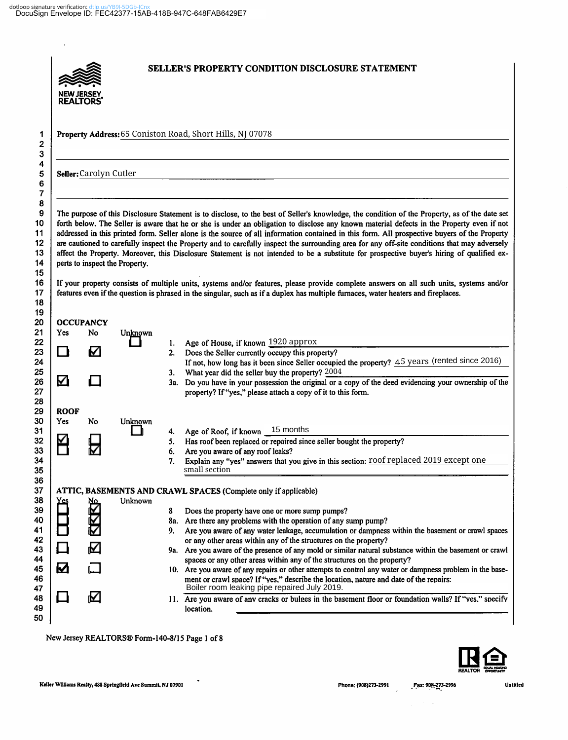$\hat{\mathbf{r}}$ 

|                    | RFAI TORS              |                                |          | SELLER'S PROPERTY CONDITION DISCLOSURE STATEMENT                                                                                                                                                                                                                                                                                                                                                                                                                                                                                                                                                                                                                                                                                                                                                                                                                                     |
|--------------------|------------------------|--------------------------------|----------|--------------------------------------------------------------------------------------------------------------------------------------------------------------------------------------------------------------------------------------------------------------------------------------------------------------------------------------------------------------------------------------------------------------------------------------------------------------------------------------------------------------------------------------------------------------------------------------------------------------------------------------------------------------------------------------------------------------------------------------------------------------------------------------------------------------------------------------------------------------------------------------|
|                    |                        |                                |          | Property Address: 65 Coniston Road, Short Hills, NJ 07078                                                                                                                                                                                                                                                                                                                                                                                                                                                                                                                                                                                                                                                                                                                                                                                                                            |
|                    | Seller: Carolyn Cutler |                                |          |                                                                                                                                                                                                                                                                                                                                                                                                                                                                                                                                                                                                                                                                                                                                                                                                                                                                                      |
|                    |                        | perts to inspect the Property. |          | The purpose of this Disclosure Statement is to disclose, to the best of Seller's knowledge, the condition of the Property, as of the date set<br>forth below. The Seller is aware that he or she is under an obligation to disclose any known material defects in the Property even if not<br>addressed in this printed form. Seller alone is the source of all information contained in this form. All prospective buyers of the Property<br>are cautioned to carefully inspect the Property and to carefully inspect the surrounding area for any off-site conditions that may adversely<br>affect the Property. Moreover, this Disclosure Statement is not intended to be a substitute for prospective buyer's hiring of qualified ex-<br>If your property consists of multiple units, systems and/or features, please provide complete answers on all such units, systems and/or |
|                    | <b>OCCUPANCY</b>       |                                |          | features even if the question is phrased in the singular, such as if a duplex has multiple furnaces, water heaters and fireplaces.                                                                                                                                                                                                                                                                                                                                                                                                                                                                                                                                                                                                                                                                                                                                                   |
| <b>Yes</b>         | No                     | Unknown                        |          |                                                                                                                                                                                                                                                                                                                                                                                                                                                                                                                                                                                                                                                                                                                                                                                                                                                                                      |
|                    |                        |                                |          |                                                                                                                                                                                                                                                                                                                                                                                                                                                                                                                                                                                                                                                                                                                                                                                                                                                                                      |
|                    |                        |                                | 1.       | Age of House, if known 1920 approx                                                                                                                                                                                                                                                                                                                                                                                                                                                                                                                                                                                                                                                                                                                                                                                                                                                   |
| n                  | M                      |                                | 2.       | Does the Seller currently occupy this property?                                                                                                                                                                                                                                                                                                                                                                                                                                                                                                                                                                                                                                                                                                                                                                                                                                      |
| ☑                  |                        |                                | 3.       | What year did the seller buy the property? 2004                                                                                                                                                                                                                                                                                                                                                                                                                                                                                                                                                                                                                                                                                                                                                                                                                                      |
|                    |                        |                                |          | property? If "yes," please attach a copy of it to this form.                                                                                                                                                                                                                                                                                                                                                                                                                                                                                                                                                                                                                                                                                                                                                                                                                         |
| <b>ROOF</b><br>Yes | No                     | <b>Unknown</b>                 |          |                                                                                                                                                                                                                                                                                                                                                                                                                                                                                                                                                                                                                                                                                                                                                                                                                                                                                      |
|                    |                        |                                | 4.       | Age of Roof, if known 15 months                                                                                                                                                                                                                                                                                                                                                                                                                                                                                                                                                                                                                                                                                                                                                                                                                                                      |
|                    |                        |                                | 5.       | Has roof been replaced or repaired since seller bought the property?                                                                                                                                                                                                                                                                                                                                                                                                                                                                                                                                                                                                                                                                                                                                                                                                                 |
|                    |                        |                                | 6.<br>7. | Are you aware of any roof leaks?<br>Explain any "yes" answers that you give in this section: roof replaced 2019 except one<br>small section                                                                                                                                                                                                                                                                                                                                                                                                                                                                                                                                                                                                                                                                                                                                          |
|                    |                        |                                |          |                                                                                                                                                                                                                                                                                                                                                                                                                                                                                                                                                                                                                                                                                                                                                                                                                                                                                      |
|                    | <u>No</u>              | Unknown                        |          | ATTIC, BASEMENTS AND CRAWL SPACES (Complete only if applicable)                                                                                                                                                                                                                                                                                                                                                                                                                                                                                                                                                                                                                                                                                                                                                                                                                      |
|                    |                        |                                | 8        | Does the property have one or more sump pumps?                                                                                                                                                                                                                                                                                                                                                                                                                                                                                                                                                                                                                                                                                                                                                                                                                                       |
|                    |                        |                                |          | 8a. Are there any problems with the operation of any sump pump?                                                                                                                                                                                                                                                                                                                                                                                                                                                                                                                                                                                                                                                                                                                                                                                                                      |
|                    |                        |                                |          | or any other areas within any of the structures on the property?                                                                                                                                                                                                                                                                                                                                                                                                                                                                                                                                                                                                                                                                                                                                                                                                                     |
|                    | M                      |                                |          | If not, how long has it been since Seller occupied the property? 45 years (rented since 2016)<br>3a. Do you have in your possession the original or a copy of the deed evidencing your ownership of the<br>Are you aware of any water leakage, accumulation or dampness within the basement or crawl spaces<br>9a. Are you aware of the presence of any mold or similar natural substance within the basement or crawl                                                                                                                                                                                                                                                                                                                                                                                                                                                               |
| Ø                  |                        |                                |          | spaces or any other areas within any of the structures on the property?<br>10. Are you aware of any repairs or other attempts to control any water or dampness problem in the base-<br>ment or crawl space? If "yes," describe the location, nature and date of the repairs:<br>Boiler room leaking pipe repaired July 2019.                                                                                                                                                                                                                                                                                                                                                                                                                                                                                                                                                         |



Keller Williams Realty, 488 Springfield Ave Summit, NJ 07901

 $\ddot{\phantom{0}}$ 

 $\mathcal{L}_{\mathcal{L}}$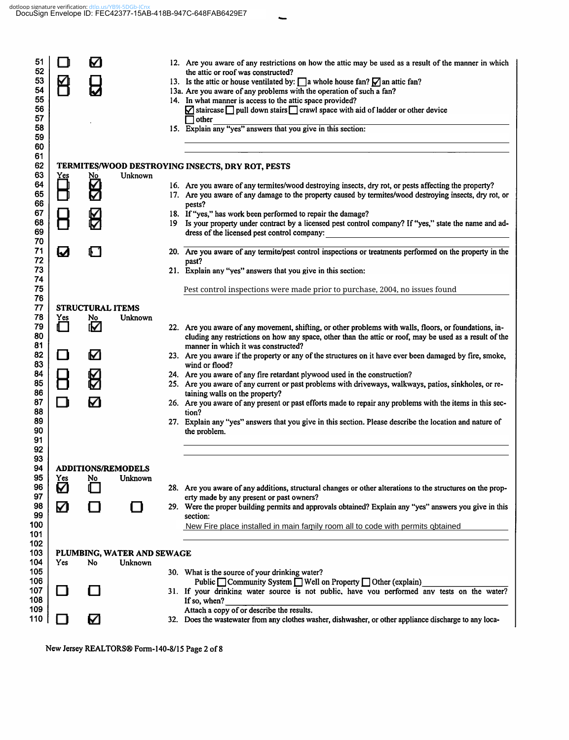$\overline{\phantom{0}}$ 

| 51<br>52             |                                  | V                       |                            | 12. Are you aware of any restrictions on how the attic may be used as a result of the manner in which<br>the attic or roof was constructed?                                                                                                              |
|----------------------|----------------------------------|-------------------------|----------------------------|----------------------------------------------------------------------------------------------------------------------------------------------------------------------------------------------------------------------------------------------------------|
| 53                   |                                  |                         |                            | 13. Is the attic or house ventilated by: $\Box$ a whole house fan? $\Box$ an attic fan?                                                                                                                                                                  |
| 54                   |                                  |                         |                            | 13a. Are you aware of any problems with the operation of such a fan?                                                                                                                                                                                     |
| 55                   |                                  |                         |                            | 14. In what manner is access to the attic space provided?                                                                                                                                                                                                |
| 56                   |                                  |                         |                            | $\blacksquare$ staircase $\blacksquare$ pull down stairs $\blacksquare$ crawl space with aid of ladder or other device                                                                                                                                   |
| 57                   |                                  |                         |                            | $\Box$ other                                                                                                                                                                                                                                             |
| 58<br>59             |                                  |                         |                            | 15. Explain any "yes" answers that you give in this section:                                                                                                                                                                                             |
| 60<br>61<br>62<br>63 |                                  |                         | Unknown                    | TERMITES/WOOD DESTROYING INSECTS, DRY ROT, PESTS                                                                                                                                                                                                         |
| 64                   | $\overline{\Box}^{\textrm{res}}$ | <u>的</u>                |                            | 16. Are you aware of any termites/wood destroying insects, dry rot, or pests affecting the property?                                                                                                                                                     |
| 65<br>66             |                                  |                         |                            | 17. Are you aware of any damage to the property caused by termites/wood destroying insects, dry rot, or<br>pests?                                                                                                                                        |
| 67                   |                                  |                         |                            | 18. If "yes," has work been performed to repair the damage?                                                                                                                                                                                              |
| 68                   |                                  |                         |                            | 19 Is your property under contract by a licensed pest control company? If "yes," state the name and ad-                                                                                                                                                  |
| 69<br>70             |                                  |                         |                            | dress of the licensed pest control company:                                                                                                                                                                                                              |
| 71<br>72             | Ø                                |                         |                            | 20. Are you aware of any termite/pest control inspections or treatments performed on the property in the<br>past?                                                                                                                                        |
| 73                   |                                  |                         |                            | 21. Explain any "yes" answers that you give in this section:                                                                                                                                                                                             |
| 74<br>75<br>76       |                                  |                         |                            | Pest control inspections were made prior to purchase, 2004, no issues found                                                                                                                                                                              |
| 77                   |                                  | <b>STRUCTURAL ITEMS</b> |                            |                                                                                                                                                                                                                                                          |
| 78                   | Yes                              | No                      | Unknown                    |                                                                                                                                                                                                                                                          |
| 79<br>80<br>81       | ∩                                | Ø                       |                            | 22. Are you aware of any movement, shifting, or other problems with walls, floors, or foundations, in-<br>cluding any restrictions on how any space, other than the attic or roof, may be used as a result of the<br>manner in which it was constructed? |
| 82<br>83             | O                                | Μ                       |                            | 23. Are you aware if the property or any of the structures on it have ever been damaged by fire, smoke,<br>wind or flood?                                                                                                                                |
| 84                   |                                  |                         |                            | 24. Are you aware of any fire retardant plywood used in the construction?                                                                                                                                                                                |
| 85                   |                                  |                         |                            | 25. Are you aware of any current or past problems with driveways, walkways, patios, sinkholes, or re-                                                                                                                                                    |
| 86                   |                                  |                         |                            | taining walls on the property?                                                                                                                                                                                                                           |
| 87<br>88             | ∩                                | ☑                       |                            | 26. Are you aware of any present or past efforts made to repair any problems with the items in this sec-<br>tion?                                                                                                                                        |
| 89<br>90<br>91       |                                  |                         |                            | 27. Explain any "yes" answers that you give in this section. Please describe the location and nature of<br>the problem.                                                                                                                                  |
| 92                   |                                  |                         |                            |                                                                                                                                                                                                                                                          |
| 93<br>94             |                                  |                         | <b>ADDITIONS/REMODELS</b>  |                                                                                                                                                                                                                                                          |
| 95                   | <b>Yes</b>                       | N0                      | Unknown                    |                                                                                                                                                                                                                                                          |
| 96                   | ☑                                |                         |                            | 28. Are you aware of any additions, structural changes or other alterations to the structures on the prop-                                                                                                                                               |
| 97                   |                                  |                         |                            | erty made by any present or past owners?                                                                                                                                                                                                                 |
| 98<br>99             | ☑                                | 1 I                     |                            | 29. Were the proper building permits and approvals obtained? Explain any "yes" answers you give in this                                                                                                                                                  |
| 100                  |                                  |                         |                            | section:                                                                                                                                                                                                                                                 |
| 101                  |                                  |                         |                            | New Fire place installed in main family room all to code with permits obtained                                                                                                                                                                           |
| 102                  |                                  |                         |                            |                                                                                                                                                                                                                                                          |
| 103                  |                                  |                         | PLUMBING, WATER AND SEWAGE |                                                                                                                                                                                                                                                          |
| 104                  | Yes                              | No                      | Unknown                    |                                                                                                                                                                                                                                                          |
| 105                  |                                  |                         |                            | 30. What is the source of your drinking water?                                                                                                                                                                                                           |
| 106<br>107           | ப                                | ப                       |                            | Public $\Box$ Community System $\Box$ Well on Property $\Box$ Other (explain)<br>31. If your drinking water source is not public, have you performed any tests on the water?                                                                             |
| 108                  |                                  |                         |                            | If so, when?                                                                                                                                                                                                                                             |
| 109<br>110           |                                  | M                       |                            | Attach a copy of or describe the results.<br>32. Does the wastewater from any clothes washer, dishwasher, or other appliance discharge to any loca-                                                                                                      |
|                      |                                  |                         |                            |                                                                                                                                                                                                                                                          |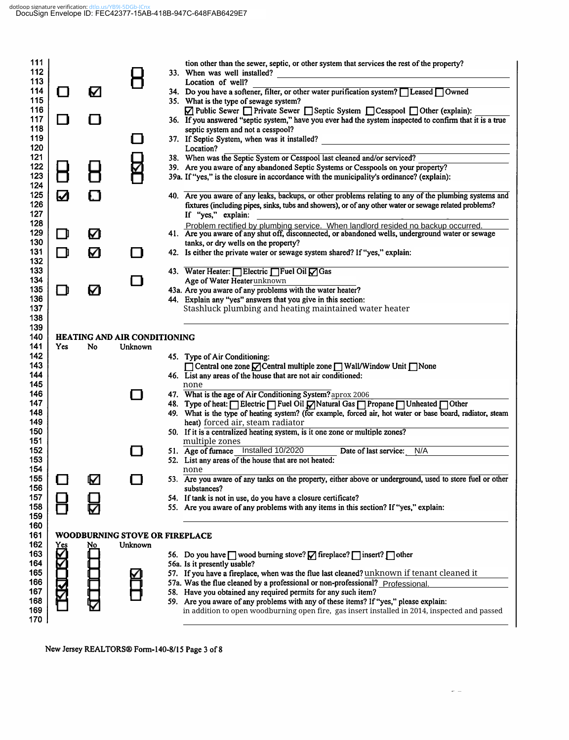# dotloop signature verification: dtlp.us/YB9I-5DGb-ICnx<br>DocuSign Envelope ID: FEC42377-15AB-418B-947C-648FAB6429E7

| 111<br>112<br>113<br>114<br>115<br>116<br>117<br>118                                           | $\mathsf{\Pi}$<br>l I | ☑                                         |                | tion other than the sewer, septic, or other system that services the rest of the property?<br>33. When was well installed?<br>Location of well?<br>34. Do you have a softener, filter, or other water purification system? I Leased Owned<br>35. What is the type of sewage system?<br>☑ Public Sewer nerivate Sewer Septic System nesspool nother (explain):<br>36. If you answered "septic system," have you ever had the system inspected to confirm that it is a true<br>septic system and not a cesspool?                                                                                                                                       |
|------------------------------------------------------------------------------------------------|-----------------------|-------------------------------------------|----------------|------------------------------------------------------------------------------------------------------------------------------------------------------------------------------------------------------------------------------------------------------------------------------------------------------------------------------------------------------------------------------------------------------------------------------------------------------------------------------------------------------------------------------------------------------------------------------------------------------------------------------------------------------|
| 119<br>120<br>121<br>122<br>123<br>124<br>125<br>126<br>127                                    | Й                     | 81                                        |                | 37. If Septic System, when was it installed?<br>Location?<br>38. When was the Septic System or Cesspool last cleaned and/or serviced?<br>39. Are you aware of any abandoned Septic Systems or Cesspools on your property?<br>39a. If "yes," is the closure in accordance with the municipality's ordinance? (explain):<br>40. Are you aware of any leaks, backups, or other problems relating to any of the plumbing systems and<br>fixtures (including pipes, sinks, tubs and showers), or of any other water or sewage related problems?<br>If "yes," explain:                                                                                     |
| 128<br>129                                                                                     | LΙ                    | ☑                                         |                | Problem rectified by plumbing service. When landlord resided no backup occurred.<br>41. Are you aware of any shut off, disconnected, or abandoned wells, underground water or sewage                                                                                                                                                                                                                                                                                                                                                                                                                                                                 |
| 130<br>131                                                                                     | ∩                     | Ø                                         |                | tanks, or dry wells on the property?<br>42. Is either the private water or sewage system shared? If "yes," explain:                                                                                                                                                                                                                                                                                                                                                                                                                                                                                                                                  |
| 132<br>133<br>134<br>135<br>136<br>137<br>138                                                  | ∩                     | ☑                                         | l 1            | 43. Water Heater: Electric Fuel Oil Gas<br>Age of Water Heater unknown<br>43a. Are you aware of any problems with the water heater?<br>44. Explain any "yes" answers that you give in this section:<br>Stashluck plumbing and heating maintained water heater                                                                                                                                                                                                                                                                                                                                                                                        |
| 139<br>140<br>141<br>142<br>143<br>144<br>145<br>146<br>147<br>148<br>149<br>150<br>151<br>152 | Yes                   | <b>HEATING AND AIR CONDITIONING</b><br>No | Unknown<br>. . | 45. Type of Air Conditioning:<br>□ Central one zone ○ Central multiple zone □ Wall/Window Unit □ None<br>46. List any areas of the house that are not air conditioned:<br>none<br>47. What is the age of Air Conditioning System? aprox 2006<br>48. Type of heat: Electric Fuel Oil Matural Gas Propane DUnheated DOther<br>49. What is the type of heating system? (for example, forced air, hot water or base board, radiator, steam<br>heat) forced air, steam radiator<br>50. If it is a centralized heating system, is it one zone or multiple zones?<br>multiple zones<br>51. Age of furnace Installed 10/2020<br>Date of last service:<br>N/A |
| 153<br>154                                                                                     |                       |                                           |                | 52. List any areas of the house that are not heated:<br>none                                                                                                                                                                                                                                                                                                                                                                                                                                                                                                                                                                                         |
| 155<br>156<br>157<br>158<br>159                                                                |                       | M                                         |                | 53. Are you aware of any tanks on the property, either above or underground, used to store fuel or other<br>substances?<br>54. If tank is not in use, do you have a closure certificate?<br>55. Are you aware of any problems with any items in this section? If "yes," explain:                                                                                                                                                                                                                                                                                                                                                                     |
| 160<br>161<br>162<br>163<br>164<br>165<br>166<br>167<br>168<br>169<br>170                      | Yes<br>₹Ю             | WOODBURNING STOVE OR FIREPLACE<br>No      | Unknown        | 56. Do you have <u>one</u> wood burning stove? <b>O</b> fireplace? Dinsert? Dother<br>56a. Is it presently usable?<br>57. If you have a fireplace, when was the flue last cleaned? unknown if tenant cleaned it<br>57a. Was the flue cleaned by a professional or non-professional? Professional.<br>58. Have you obtained any required permits for any such item?<br>59. Are you aware of any problems with any of these items? If "yes," please explain:<br>in addition to open woodburning open fire, gas insert installed in 2014, inspected and passed                                                                                          |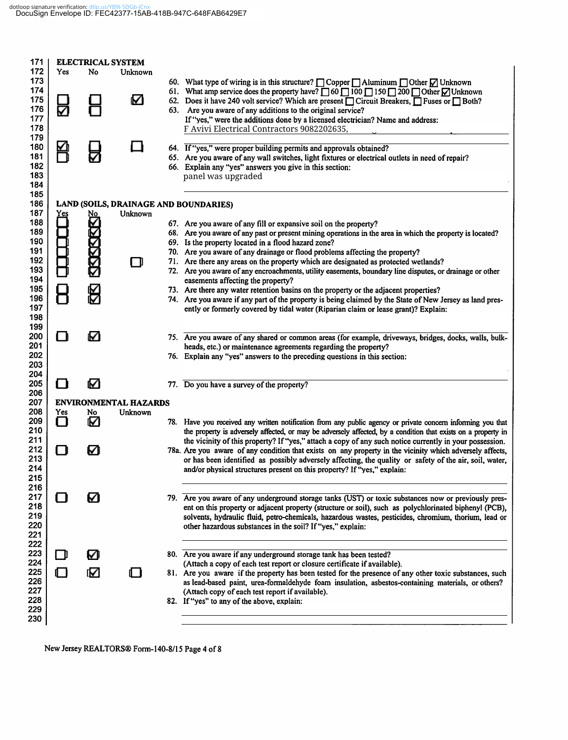| Yes | No                     | Unknown                     |                                      |                                                                                                                                                                                                                                                                                                                                                                                                                                                                                                                                             |
|-----|------------------------|-----------------------------|--------------------------------------|---------------------------------------------------------------------------------------------------------------------------------------------------------------------------------------------------------------------------------------------------------------------------------------------------------------------------------------------------------------------------------------------------------------------------------------------------------------------------------------------------------------------------------------------|
| ∇   |                        | M                           |                                      | 60. What type of wiring is in this structure? $\Box$ Copper $\Box$ Aluminum $\Box$ Other $\Box$ Unknown<br>61. What amp service does the property have? $\Box$ 60 $\Box$ 100 $\Box$ 150 $\Box$ 200 $\Box$ Other $\Box$ Unknown<br>62. Does it have 240 volt service? Which are present $\Box$ Circuit Breakers, $\Box$ Fuses or $\Box$ Both?<br>63. Are you aware of any additions to the original service?<br>If "yes," were the additions done by a licensed electrician? Name and address:<br>F Avivi Electrical Contractors 9082202635, |
|     |                        |                             |                                      |                                                                                                                                                                                                                                                                                                                                                                                                                                                                                                                                             |
|     |                        |                             |                                      | 64. If "yes," were proper building permits and approvals obtained?<br>65. Are you aware of any wall switches, light fixtures or electrical outlets in need of repair?<br>66. Explain any "yes" answers you give in this section:<br>panel was upgraded                                                                                                                                                                                                                                                                                      |
|     |                        |                             |                                      |                                                                                                                                                                                                                                                                                                                                                                                                                                                                                                                                             |
| Yes | No                     | Unknown                     |                                      |                                                                                                                                                                                                                                                                                                                                                                                                                                                                                                                                             |
|     |                        |                             |                                      | 67. Are you aware of any fill or expansive soil on the property?                                                                                                                                                                                                                                                                                                                                                                                                                                                                            |
|     |                        |                             |                                      | 68. Are you aware of any past or present mining operations in the area in which the property is located?                                                                                                                                                                                                                                                                                                                                                                                                                                    |
|     |                        |                             |                                      | 69. Is the property located in a flood hazard zone?<br>70. Are you aware of any drainage or flood problems affecting the property?                                                                                                                                                                                                                                                                                                                                                                                                          |
|     |                        |                             |                                      | 71. Are there any areas on the property which are designated as protected wetlands?                                                                                                                                                                                                                                                                                                                                                                                                                                                         |
|     |                        |                             |                                      | 72. Are you aware of any encroachments, utility easements, boundary line disputes, or drainage or other                                                                                                                                                                                                                                                                                                                                                                                                                                     |
|     |                        |                             |                                      | easements affecting the property?                                                                                                                                                                                                                                                                                                                                                                                                                                                                                                           |
|     |                        |                             |                                      | 73. Are there any water retention basins on the property or the adjacent properties?                                                                                                                                                                                                                                                                                                                                                                                                                                                        |
|     |                        |                             |                                      | 74. Are you aware if any part of the property is being claimed by the State of New Jersey as land pres-<br>ently or formerly covered by tidal water (Riparian claim or lease grant)? Explain:                                                                                                                                                                                                                                                                                                                                               |
|     |                        |                             |                                      |                                                                                                                                                                                                                                                                                                                                                                                                                                                                                                                                             |
|     |                        |                             |                                      |                                                                                                                                                                                                                                                                                                                                                                                                                                                                                                                                             |
|     |                        |                             |                                      | 75. Are you aware of any shared or common areas (for example, driveways, bridges, docks, walls, bulk-                                                                                                                                                                                                                                                                                                                                                                                                                                       |
|     |                        |                             |                                      | heads, etc.) or maintenance agreements regarding the property?<br>76. Explain any "yes" answers to the preceding questions in this section:                                                                                                                                                                                                                                                                                                                                                                                                 |
|     |                        |                             |                                      |                                                                                                                                                                                                                                                                                                                                                                                                                                                                                                                                             |
|     |                        |                             |                                      |                                                                                                                                                                                                                                                                                                                                                                                                                                                                                                                                             |
|     |                        |                             |                                      | 77. Do you have a survey of the property?                                                                                                                                                                                                                                                                                                                                                                                                                                                                                                   |
|     |                        |                             |                                      |                                                                                                                                                                                                                                                                                                                                                                                                                                                                                                                                             |
| Yes | No                     | Unknown                     |                                      |                                                                                                                                                                                                                                                                                                                                                                                                                                                                                                                                             |
| n   | Ø                      |                             |                                      | 78. Have you received any written notification from any public agency or private concern informing you that                                                                                                                                                                                                                                                                                                                                                                                                                                 |
|     |                        |                             |                                      | the property is adversely affected, or may be adversely affected, by a condition that exists on a property in                                                                                                                                                                                                                                                                                                                                                                                                                               |
|     |                        |                             |                                      | the vicinity of this property? If "yes," attach a copy of any such notice currently in your possession.<br>78a. Are you aware of any condition that exists on any property in the vicinity which adversely affects,                                                                                                                                                                                                                                                                                                                         |
|     |                        |                             |                                      | or has been identified as possibly adversely affecting, the quality or safety of the air, soil, water,                                                                                                                                                                                                                                                                                                                                                                                                                                      |
|     |                        |                             |                                      | and/or physical structures present on this property? If "yes," explain:                                                                                                                                                                                                                                                                                                                                                                                                                                                                     |
|     |                        |                             |                                      |                                                                                                                                                                                                                                                                                                                                                                                                                                                                                                                                             |
|     |                        |                             |                                      |                                                                                                                                                                                                                                                                                                                                                                                                                                                                                                                                             |
|     |                        |                             |                                      | 79. Are you aware of any underground storage tanks (UST) or toxic substances now or previously pres-<br>ent on this property or adjacent property (structure or soil), such as polychlorinated biphenyl (PCB),                                                                                                                                                                                                                                                                                                                              |
|     |                        |                             |                                      | solvents, hydraulic fluid, petro-chemicals, hazardous wastes, pesticides, chromium, thorium, lead or                                                                                                                                                                                                                                                                                                                                                                                                                                        |
|     |                        |                             |                                      | other hazardous substances in the soil? If "yes," explain:                                                                                                                                                                                                                                                                                                                                                                                                                                                                                  |
|     |                        |                             |                                      |                                                                                                                                                                                                                                                                                                                                                                                                                                                                                                                                             |
|     |                        |                             |                                      | 80. Are you aware if any underground storage tank has been tested?                                                                                                                                                                                                                                                                                                                                                                                                                                                                          |
|     |                        |                             |                                      | (Attach a copy of each test report or closure certificate if available).                                                                                                                                                                                                                                                                                                                                                                                                                                                                    |
| ⊓   | ſΜ                     | 0 I                         |                                      | 81. Are you aware if the property has been tested for the presence of any other toxic substances, such                                                                                                                                                                                                                                                                                                                                                                                                                                      |
|     |                        |                             |                                      | as lead-based paint, urea-formaldehyde foam insulation, asbestos-containing materials, or others?                                                                                                                                                                                                                                                                                                                                                                                                                                           |
|     |                        |                             |                                      | (Attach copy of each test report if available).<br>82. If "yes" to any of the above, explain:                                                                                                                                                                                                                                                                                                                                                                                                                                               |
|     |                        |                             |                                      |                                                                                                                                                                                                                                                                                                                                                                                                                                                                                                                                             |
|     |                        |                             |                                      |                                                                                                                                                                                                                                                                                                                                                                                                                                                                                                                                             |
|     | Ŋ<br>Γ⊪<br>П<br>⊓<br>П | ξК<br>М<br>М<br>M<br>☑<br>Ø | <b>ELECTRICAL SYSTEM</b><br>H<br>– L | LAND (SOILS, DRAINAGE AND BOUNDARIES)<br><b>ENVIRONMENTAL HAZARDS</b>                                                                                                                                                                                                                                                                                                                                                                                                                                                                       |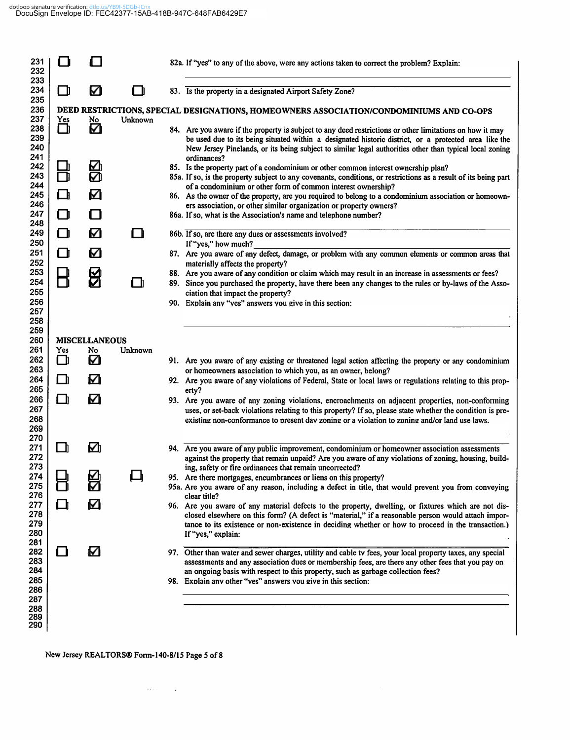### dotloop signature verification: dtlp.us/YB9I-5DGb-ICnx<br>DocuSign Envelope ID: FEC42377-15AB-418B-947C-648FAB6429E7

| 231<br>232<br>233               |          |                      |         | 82a. If "yes" to any of the above, were any actions taken to correct the problem? Explain:                                                                                                                                                                                                                                            |
|---------------------------------|----------|----------------------|---------|---------------------------------------------------------------------------------------------------------------------------------------------------------------------------------------------------------------------------------------------------------------------------------------------------------------------------------------|
| 234<br>235                      | O        | ☑                    | 1 N     | 83. Is the property in a designated Airport Safety Zone?                                                                                                                                                                                                                                                                              |
| 236<br>237                      |          |                      |         | DEED RESTRICTIONS, SPECIAL DESIGNATIONS, HOMEOWNERS ASSOCIATION/CONDOMINIUMS AND CO-OPS                                                                                                                                                                                                                                               |
| 238<br>239<br>240<br>241        | Yes<br>O | No<br>☑              | Unknown | 84. Are you aware if the property is subject to any deed restrictions or other limitations on how it may<br>be used due to its being situated within a designated historic district, or a protected area like the<br>New Jersey Pinelands, or its being subject to similar legal authorities other than typical local zoning          |
| 242<br>243                      | m        | ⊠                    |         | ordinances?<br>85. Is the property part of a condominium or other common interest ownership plan?<br>85a. If so, is the property subject to any covenants, conditions, or restrictions as a result of its being part                                                                                                                  |
| 244<br>245                      | O        | Ø                    |         | of a condominium or other form of common interest ownership?<br>86. As the owner of the property, are you required to belong to a condominium association or homeown-                                                                                                                                                                 |
| 246<br>247                      | O        | II I                 |         | ers association, or other similar organization or property owners?<br>86a. If so, what is the Association's name and telephone number?                                                                                                                                                                                                |
| 248<br>249<br>250               | O        | ☑                    | ∩       | 86b. If so, are there any dues or assessments involved?<br>If "yes," how much?                                                                                                                                                                                                                                                        |
| 251                             | O        | Ø                    |         | 87. Are you aware of any defect, damage, or problem with any common elements or common areas that                                                                                                                                                                                                                                     |
| 252<br>253                      |          | EK                   |         | materially affects the property?<br>88. Are you aware of any condition or claim which may result in an increase in assessments or fees?                                                                                                                                                                                               |
| 254<br>255                      |          |                      |         | 89. Since you purchased the property, have there been any changes to the rules or by-laws of the Asso-<br>ciation that impact the property?                                                                                                                                                                                           |
| 256<br>257                      |          |                      |         | 90. Explain any "yes" answers you give in this section:                                                                                                                                                                                                                                                                               |
| 258                             |          |                      |         |                                                                                                                                                                                                                                                                                                                                       |
| 259<br>260                      |          | <b>MISCELLANEOUS</b> |         |                                                                                                                                                                                                                                                                                                                                       |
| 261<br>262                      | Yes<br>О | No<br>☑              | Unknown | 91. Are you aware of any existing or threatened legal action affecting the property or any condominium                                                                                                                                                                                                                                |
| 263<br>264                      | ◻        | Ø                    |         | or homeowners association to which you, as an owner, belong?<br>92. Are you aware of any violations of Federal, State or local laws or regulations relating to this prop-                                                                                                                                                             |
| 265                             |          |                      |         | erty?                                                                                                                                                                                                                                                                                                                                 |
| 266<br>267<br>268<br>269        | O        | Ø                    |         | 93. Are you aware of any zoning violations, encroachments on adjacent properties, non-conforming<br>uses, or set-back violations relating to this property? If so, please state whether the condition is pre-<br>existing non-conformance to present day zoning or a violation to zoning and/or land use laws.                        |
| 270<br>271<br>272<br>273        | - n      | ☑                    |         | 94. Are you aware of any public improvement, condominium or homeowner association assessments<br>against the property that remain unpaid? Are you aware of any violations of zoning, housing, build-<br>ing, safety or fire ordinances that remain uncorrected?                                                                       |
| 274<br>275                      |          | 贸                    |         | 95. Are there mortgages, encumbrances or liens on this property?                                                                                                                                                                                                                                                                      |
| 276                             |          |                      |         | 95a. Are you aware of any reason, including a defect in title, that would prevent you from conveying<br>clear title?                                                                                                                                                                                                                  |
| 277<br>278<br>279<br>280<br>281 | ┃        | M                    |         | 96. Are you aware of any material defects to the property, dwelling, or fixtures which are not dis-<br>closed elsewhere on this form? (A defect is "material," if a reasonable person would attach impor-<br>tance to its existence or non-existence in deciding whether or how to proceed in the transaction.)<br>If "yes," explain: |
| 282<br>283<br>284               |          | Ø                    |         | 97. Other than water and sewer charges, utility and cable tv fees, your local property taxes, any special<br>assessments and any association dues or membership fees, are there any other fees that you pay on<br>an ongoing basis with respect to this property, such as garbage collection fees?                                    |
| 285<br>286                      |          |                      |         | 98. Explain any other "yes" answers you give in this section:                                                                                                                                                                                                                                                                         |
| 287<br>288                      |          |                      |         |                                                                                                                                                                                                                                                                                                                                       |
| 289<br>290                      |          |                      |         |                                                                                                                                                                                                                                                                                                                                       |
|                                 |          |                      |         |                                                                                                                                                                                                                                                                                                                                       |

New Jersey REALTORS® Form-140-8/15 Page 5 of 8

 $\mathcal{L}(\mathcal{L}(\mathcal{L}))$  and  $\mathcal{L}(\mathcal{L})$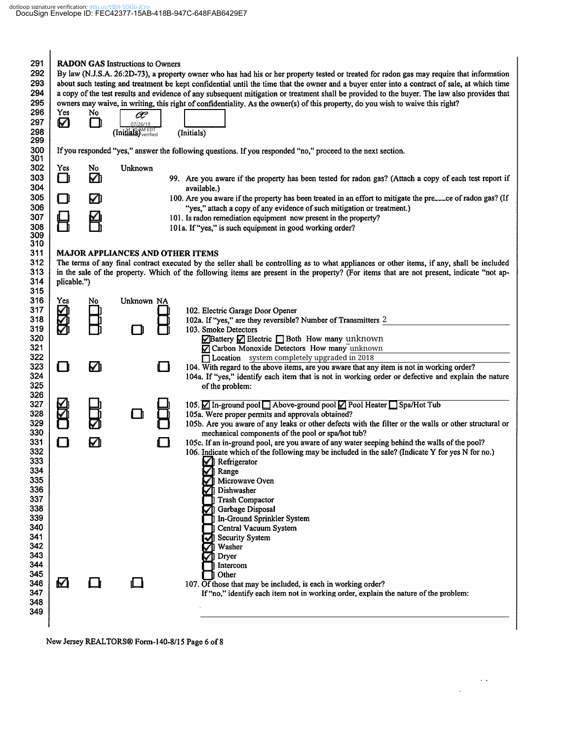| 291<br>292<br>293<br>294<br>295<br>296<br>297<br>298                                                  | Yes<br>Ø    | No<br>Ш | <b>RADON GAS Instructions to Owners</b><br>œ<br>07/26/19<br>(Initials) verified |     | By law (N.J.S.A. 26:2D-73), a property owner who has had his or her property tested or treated for radon gas may require that information<br>about such testing and treatment be kept confidential until the time that the owner and a buyer enter into a contract of sale, at which time<br>a copy of the test results and evidence of any subsequent mitigation or treatment shall be provided to the buyer. The law also provides that<br>owners may waive, in writing, this right of confidentiality. As the owner(s) of this property, do you wish to waive this right?<br>(Initials) |
|-------------------------------------------------------------------------------------------------------|-------------|---------|---------------------------------------------------------------------------------|-----|--------------------------------------------------------------------------------------------------------------------------------------------------------------------------------------------------------------------------------------------------------------------------------------------------------------------------------------------------------------------------------------------------------------------------------------------------------------------------------------------------------------------------------------------------------------------------------------------|
| 299<br>300                                                                                            |             |         |                                                                                 |     | If you responded "yes," answer the following questions. If you responded "no," proceed to the next section.                                                                                                                                                                                                                                                                                                                                                                                                                                                                                |
| 301<br>302<br>303<br>304                                                                              | Yes<br>O    | No<br>☑ | Unknown                                                                         |     | 99. Are you aware if the property has been tested for radon gas? (Attach a copy of each test report if<br>available.)                                                                                                                                                                                                                                                                                                                                                                                                                                                                      |
| 305<br>306<br>307<br>308<br>309                                                                       | П           | ☑       |                                                                                 |     | 100. Are you aware if the property has been treated in an effort to mitigate the preeded of radon gas? (If<br>"yes," attach a copy of any evidence of such mitigation or treatment.)<br>101. Is radon remediation equipment now present in the property?<br>101a. If "yes," is such equipment in good working order?                                                                                                                                                                                                                                                                       |
| 310<br>311<br>312<br>313<br>314                                                                       | plicable.") |         | <b>MAJOR APPLIANCES AND OTHER ITEMS</b>                                         |     | The terms of any final contract executed by the seller shall be controlling as to what appliances or other items, if any, shall be included<br>in the sale of the property. Which of the following items are present in the property? (For items that are not present, indicate "not ap-                                                                                                                                                                                                                                                                                                   |
| 315<br>316<br>317<br>318<br>319<br>320                                                                | Yes         | No      | Unknown NA                                                                      |     | 102. Electric Garage Door Opener<br>102a. If "yes," are they reversible? Number of Transmitters 2<br>103. Smoke Detectors<br>$\sqrt{\frac{1}{2}}$ Battery $\sqrt{\frac{1}{2}}$ Electric $\sqrt{\frac{1}{2}}$ Both How many unknown                                                                                                                                                                                                                                                                                                                                                         |
| 321<br>322<br>323<br>324<br>325                                                                       | ∩           | Ø       |                                                                                 | ∩   | Carbon Monoxide Detectors How many unknown<br>Location system completely upgraded in 2018<br>104. With regard to the above items, are you aware that any item is not in working order?<br>104a. If "yes," identify each item that is not in working order or defective and explain the nature<br>of the problem:                                                                                                                                                                                                                                                                           |
| 326<br>327<br>328<br>329<br>330                                                                       |             |         |                                                                                 |     | 105. Ø In-ground pool □ Above-ground pool Ø Pool Heater □ Spa/Hot Tub<br>105a. Were proper permits and approvals obtained?<br>105b. Are you aware of any leaks or other defects with the filter or the walls or other structural or<br>mechanical components of the pool or spa/hot tub?                                                                                                                                                                                                                                                                                                   |
| 331<br>332<br>333<br>334<br>335<br>336<br>337<br>338<br>339<br>340<br>341<br>342<br>343<br>344<br>345 | ⊓           | M       |                                                                                 | 1 I | 105c. If an in-ground pool, are you aware of any water seeping behind the walls of the pool?<br>106. Indicate which of the following may be included in the sale? (Indicate Y for yes N for no.)<br>$\sqrt{\phantom{a}}$ Refrigerator<br>☑<br>Range<br>Microwave Oven<br>Dishwasher<br><b>Trash Compactor</b><br>Garbage Disposal<br>In-Ground Sprinkler System<br>Central Vacuum System<br>Security System<br>Washer<br>Dryer<br>Intercom<br>Other                                                                                                                                        |
| 346<br>347<br>348<br>349                                                                              | M           |         |                                                                                 |     | 107. Of those that may be included, is each in working order?<br>If "no," identify each item not in working order, explain the nature of the problem:                                                                                                                                                                                                                                                                                                                                                                                                                                      |

 $\sim$   $\sim$ 

 $\overline{\phantom{a}}$ 

New Jersey REALTORS® Form-140-8/15 Page 6 of 8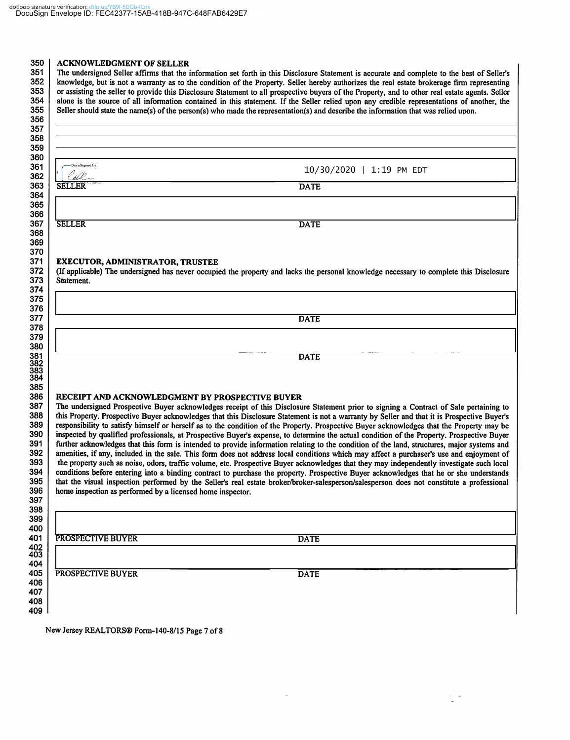#### **ACKNOWLEDGMENT OF SELLER**

The undersigned Seller affirms that the information set forth in this Disclosure Statement is accurate and complete to the best of Seller's knowledge, but is not a warranty as to the condition of the Property. Seller hereby authorizes the real estate brokerage firm representing or assisting the seller to provide this Disclosure Statement to all prospective buyers of the Property, and to other real estate agents. Seller alone is the source of all information contained in this statement. If the Seller relied upon any credible representations of another, the Seller should state the name(s) of the person(s) who made the representation(s) and describe the information that was relied upon.

| DocuSigned by:                                             | 10/30/2020   1:19 PM EDT                                                                                                                                                                                                                                                                |
|------------------------------------------------------------|-----------------------------------------------------------------------------------------------------------------------------------------------------------------------------------------------------------------------------------------------------------------------------------------|
| <b>SELLER</b>                                              | <b>DATE</b>                                                                                                                                                                                                                                                                             |
|                                                            |                                                                                                                                                                                                                                                                                         |
|                                                            |                                                                                                                                                                                                                                                                                         |
| <b>SELLER</b>                                              | <b>DATE</b>                                                                                                                                                                                                                                                                             |
|                                                            |                                                                                                                                                                                                                                                                                         |
| <b>EXECUTOR, ADMINISTRATOR, TRUSTEE</b>                    |                                                                                                                                                                                                                                                                                         |
|                                                            | (If applicable) The undersigned has never occupied the property and lacks the personal knowledge necessary to complete this Disclosure                                                                                                                                                  |
| Statement.                                                 |                                                                                                                                                                                                                                                                                         |
|                                                            |                                                                                                                                                                                                                                                                                         |
|                                                            |                                                                                                                                                                                                                                                                                         |
|                                                            |                                                                                                                                                                                                                                                                                         |
|                                                            | <b>DATE</b>                                                                                                                                                                                                                                                                             |
|                                                            |                                                                                                                                                                                                                                                                                         |
|                                                            |                                                                                                                                                                                                                                                                                         |
|                                                            | <b>DATE</b>                                                                                                                                                                                                                                                                             |
|                                                            |                                                                                                                                                                                                                                                                                         |
|                                                            |                                                                                                                                                                                                                                                                                         |
|                                                            |                                                                                                                                                                                                                                                                                         |
| RECEIPT AND ACKNOWLEDGMENT BY PROSPECTIVE BUYER            |                                                                                                                                                                                                                                                                                         |
|                                                            | The undersigned Prospective Buyer acknowledges receipt of this Disclosure Statement prior to signing a Contract of Sale pertaining to                                                                                                                                                   |
|                                                            | this Property. Prospective Buyer acknowledges that this Disclosure Statement is not a warranty by Seller and that it is Prospective Buyer's                                                                                                                                             |
|                                                            | responsibility to satisfy himself or herself as to the condition of the Property. Prospective Buyer acknowledges that the Property may be<br>inspected by qualified professionals, at Prospective Buyer's expense, to determine the actual condition of the Property. Prospective Buyer |
|                                                            | further acknowledges that this form is intended to provide information relating to the condition of the land, structures, major systems and                                                                                                                                             |
|                                                            | amenities, if any, included in the sale. This form does not address local conditions which may affect a purchaser's use and enjoyment of                                                                                                                                                |
|                                                            | the property such as noise, odors, traffic volume, etc. Prospective Buyer acknowledges that they may independently investigate such local                                                                                                                                               |
|                                                            | conditions before entering into a binding contract to purchase the property. Prospective Buyer acknowledges that he or she understands                                                                                                                                                  |
|                                                            | that the visual inspection performed by the Seller's real estate broker/broker-salesperson/salesperson does not constitute a professional                                                                                                                                               |
| home inspection as performed by a licensed home inspector. |                                                                                                                                                                                                                                                                                         |
|                                                            |                                                                                                                                                                                                                                                                                         |
|                                                            |                                                                                                                                                                                                                                                                                         |
|                                                            |                                                                                                                                                                                                                                                                                         |
| PROSPECTIVE BUYER                                          | <b>DATE</b>                                                                                                                                                                                                                                                                             |
|                                                            |                                                                                                                                                                                                                                                                                         |
|                                                            |                                                                                                                                                                                                                                                                                         |
| PROSPECTIVE BUYER                                          | <b>DATE</b>                                                                                                                                                                                                                                                                             |
|                                                            |                                                                                                                                                                                                                                                                                         |
|                                                            |                                                                                                                                                                                                                                                                                         |
|                                                            |                                                                                                                                                                                                                                                                                         |

Ļ,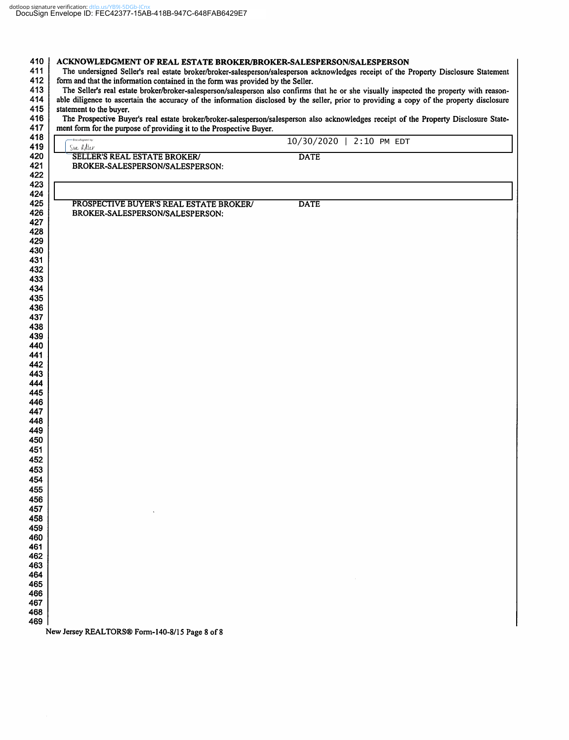| ment form for the purpose of providing it to the Prospective Buyer.<br>-DocuSigned by: | 10/30/2020   2:10 PM EDT |
|----------------------------------------------------------------------------------------|--------------------------|
| Sue adler<br><b>SELLER'S REAL ESTATE BROKER/</b>                                       | <b>DATE</b>              |
| BROKER-SALESPERSON/SALESPERSON:                                                        |                          |
| PROSPECTIVE BUYER'S REAL ESTATE BROKER/                                                | <b>DATE</b>              |
| BROKER-SALESPERSON/SALESPERSON:                                                        |                          |
|                                                                                        |                          |
|                                                                                        |                          |
|                                                                                        |                          |
|                                                                                        |                          |
|                                                                                        |                          |
|                                                                                        |                          |
|                                                                                        |                          |
|                                                                                        |                          |
|                                                                                        |                          |
|                                                                                        |                          |
|                                                                                        |                          |
|                                                                                        |                          |
|                                                                                        |                          |
|                                                                                        |                          |
|                                                                                        |                          |
|                                                                                        |                          |
|                                                                                        |                          |
|                                                                                        |                          |
|                                                                                        |                          |
|                                                                                        |                          |